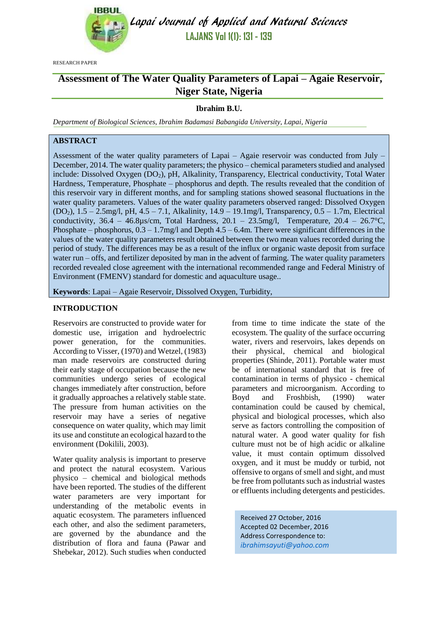

Lapai Journal of Applied and Natural Sciences **LAJANS Vol 1(1): 131 - 139**

RESEARCH PAPER

# **Assessment of The Water Quality Parameters of Lapai – Agaie Reservoir, Niger State, Nigeria**

## **Ibrahim B.U.**

*Department of Biological Sciences, Ibrahim Badamasi Babangida University, Lapai, Nigeria*

## **ABSTRACT**

Assessment of the water quality parameters of Lapai – Agaie reservoir was conducted from July – December, 2014. The water quality parameters; the physico – chemical parameters studied and analysed include: Dissolved Oxygen (DO2), pH, Alkalinity, Transparency, Electrical conductivity, Total Water Hardness, Temperature, Phosphate – phosphorus and depth. The results revealed that the condition of this reservoir vary in different months, and for sampling stations showed seasonal fluctuations in the water quality parameters. Values of the water quality parameters observed ranged: Dissolved Oxygen (DO2), 1.5 – 2.5mg/l, pH, 4.5 – 7.1, Alkalinity, 14.9 – 19.1mg/l, Transparency, 0.5 – 1.7m, Electrical conductivity,  $36.4 - 46.8\mu s/cm$ , Total Hardness,  $20.1 - 23.5\mu s/m$ , Temperature,  $20.4 - 26.7\textdegree C$ , Phosphate – phosphorus,  $0.3 - 1.7$ mg/l and Depth  $4.5 - 6.4$ m. There were significant differences in the values of the water quality parameters result obtained between the two mean values recorded during the period of study. The differences may be as a result of the influx or organic waste deposit from surface water run – offs, and fertilizer deposited by man in the advent of farming. The water quality parameters recorded revealed close agreement with the international recommended range and Federal Ministry of Environment (FMENV) standard for domestic and aquaculture usage..

**Keywords**: Lapai – Agaie Reservoir, Dissolved Oxygen, Turbidity,

## **INTRODUCTION**

Reservoirs are constructed to provide water for domestic use, irrigation and hydroelectric power generation, for the communities. According to Visser, (1970) and Wetzel, (1983) man made reservoirs are constructed during their early stage of occupation because the new communities undergo series of ecological changes immediately after construction, before it gradually approaches a relatively stable state. The pressure from human activities on the reservoir may have a series of negative consequence on water quality, which may limit its use and constitute an ecological hazard to the environment (Dokilili, 2003).

Water quality analysis is important to preserve and protect the natural ecosystem. Various physico – chemical and biological methods have been reported. The studies of the different water parameters are very important for understanding of the metabolic events in aquatic ecosystem. The parameters influenced each other, and also the sediment parameters, are governed by the abundance and the distribution of flora and fauna (Pawar and Shebekar, 2012). Such studies when conducted

from time to time indicate the state of the ecosystem. The quality of the surface occurring water, rivers and reservoirs, lakes depends on their physical, chemical and biological properties (Shinde, 2011). Portable water must be of international standard that is free of contamination in terms of physico - chemical parameters and microorganism. According to Boyd and Froshbish, (1990) water contamination could be caused by chemical, physical and biological processes, which also serve as factors controlling the composition of natural water. A good water quality for fish culture must not be of high acidic or alkaline value, it must contain optimum dissolved oxygen, and it must be muddy or turbid, not offensive to organs of smell and sight, and must be free from pollutants such as industrial wastes or effluents including detergents and pesticides.

Received 27 October, 2016 Accepted 02 December, 2016 Address Correspondence to: *[ibrahimsayuti@yahoo.com](mailto:ibrahimsayuti@yahoo.com)*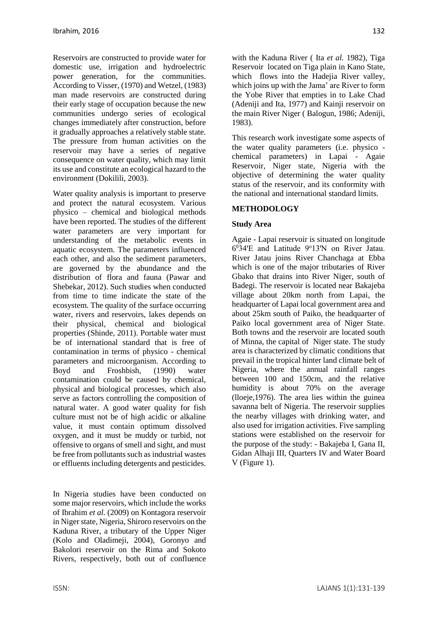Reservoirs are constructed to provide water for domestic use, irrigation and hydroelectric power generation, for the communities. According to Visser, (1970) and Wetzel, (1983) man made reservoirs are constructed during their early stage of occupation because the new communities undergo series of ecological changes immediately after construction, before it gradually approaches a relatively stable state. The pressure from human activities on the reservoir may have a series of negative consequence on water quality, which may limit its use and constitute an ecological hazard to the environment (Dokilili, 2003).

Water quality analysis is important to preserve and protect the natural ecosystem. Various physico – chemical and biological methods have been reported. The studies of the different water parameters are very important for understanding of the metabolic events in aquatic ecosystem. The parameters influenced each other, and also the sediment parameters, are governed by the abundance and the distribution of flora and fauna (Pawar and Shebekar, 2012). Such studies when conducted from time to time indicate the state of the ecosystem. The quality of the surface occurring water, rivers and reservoirs, lakes depends on their physical, chemical and biological properties (Shinde, 2011). Portable water must be of international standard that is free of contamination in terms of physico - chemical parameters and microorganism. According to Boyd and Froshbish, (1990) water contamination could be caused by chemical, physical and biological processes, which also serve as factors controlling the composition of natural water. A good water quality for fish culture must not be of high acidic or alkaline value, it must contain optimum dissolved oxygen, and it must be muddy or turbid, not offensive to organs of smell and sight, and must be free from pollutants such as industrial wastes or effluents including detergents and pesticides.

In Nigeria studies have been conducted on some major reservoirs, which include the works of Ibrahim *et al.* (2009) on Kontagora reservoir in Niger state, Nigeria, Shiroro reservoirs on the Kaduna River, a tributary of the Upper Niger (Kolo and Oladimeji, 2004), Goronyo and Bakolori reservoir on the Rima and Sokoto Rivers, respectively, both out of confluence

with the Kaduna River ( Ita *et al.* 1982), Tiga Reservoir located on Tiga plain in Kano State, which flows into the Hadejia River valley, which joins up with the Jama' are River to form the Yobe River that empties in to Lake Chad (Adeniji and Ita, 1977) and Kainji reservoir on the main River Niger ( Balogun, 1986; Adeniji, 1983).

This research work investigate some aspects of the water quality parameters (i.e. physico chemical parameters) in Lapai - Agaie Reservoir, Niger state, Nigeria with the objective of determining the water quality status of the reservoir, and its conformity with the national and international standard limits.

## **METHODOLOGY**

## **Study Area**

Agaie - Lapai reservoir is situated on longitude 6<sup>0</sup>34'E and Latitude 9°13'N on River Jatau. River Jatau joins River Chanchaga at Ebba which is one of the major tributaries of River Gbako that drains into River Niger, south of Badegi. The reservoir is located near Bakajeba village about 20km north from Lapai, the headquarter of Lapai local government area and about 25km south of Paiko, the headquarter of Paiko local government area of Niger State. Both towns and the reservoir are located south of Minna, the capital of Niger state. The study area is characterized by climatic conditions that prevail in the tropical hinter land climate belt of Nigeria, where the annual rainfall ranges between 100 and 150cm, and the relative humidity is about 70% on the average (lloeje,1976). The area lies within the guinea savanna belt of Nigeria. The reservoir supplies the nearby villages with drinking water, and also used for irrigation activities. Five sampling stations were established on the reservoir for the purpose of the study: - Bakajeba I, Gana II, Gidan Alhaji III, Quarters IV and Water Board V (Figure 1).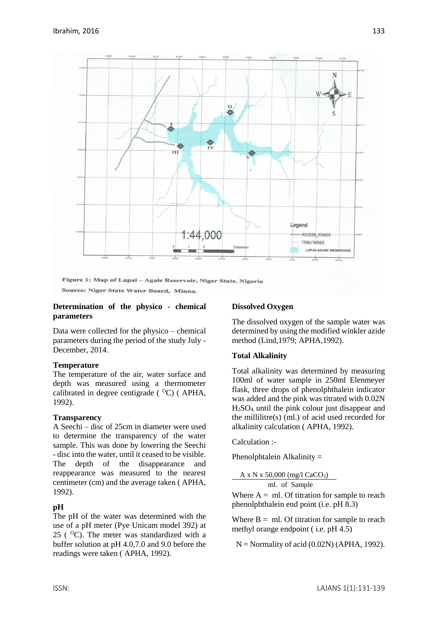

#### **Determination of the physico - chemical parameters**

Data were collected for the physico – chemical parameters during the period of the study July - December, 2014.

### **Temperature**

The temperature of the air, water surface and depth was measured using a thermometer calibrated in degree centigrade  $(^{0}C)$  (APHA, 1992).

#### **Transparency**

A Seechi – disc of 25cm in diameter were used to determine the transparency of the water sample. This was done by lowering the Seechi - disc into the water, until it ceased to be visible. The depth of the disappearance and reappearance was measured to the nearest centimeter (cm) and the average taken ( APHA, 1992).

### **pH**

The pH of the water was determined with the use of a pH meter (Pye Unicam model 392) at 25 ( $^{\circ}$ C). The meter was standardized with a buffer solution at pH 4.0,7.0 and 9.0 before the readings were taken ( APHA, 1992).

### **Dissolved Oxygen**

The dissolved oxygen of the sample water was determined by using the modified winkler azide method (Lind,1979; APHA,1992).

### **Total Alkalinity**

Total alkalinity was determined by measuring 100ml of water sample in 250ml Elenmeyer flask, three drops of phenolphthalein indicator was added and the pink was titrated with 0.02N  $H<sub>2</sub>SO<sub>4</sub>$  until the pink colour just disappear and the millilitre(s) (ml.) of acid used recorded for alkalinity calculation ( APHA, 1992).

Calculation :-

Phenolphtalein Alkalinity =

 $A \times N \times 50,000$  (mg/l CaCO<sub>3</sub>)

ml. of Sample

Where  $A = ml$ . Of titration for sample to reach phenolphthalein end point (i.e. pH 8.3)

Where  $B = ml$ . Of titration for sample to reach methyl orange endpoint ( i.e. pH 4.5)

 $N =$  Normality of acid (0.02N) (APHA, 1992).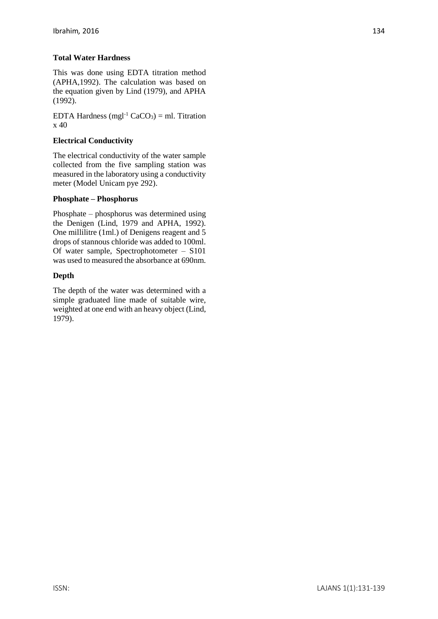## **Total Water Hardness**

This was done using EDTA titration method (APHA,1992). The calculation was based on the equation given by Lind (1979), and APHA (1992).

EDTA Hardness (mgl<sup>-1</sup> CaCO<sub>3</sub>) = ml. Titration x 40

## **Electrical Conductivity**

The electrical conductivity of the water sample collected from the five sampling station was measured in the laboratory using a conductivity meter (Model Unicam pye 292).

### **Phosphate – Phosphorus**

Phosphate – phosphorus was determined using the Denigen (Lind, 1979 and APHA, 1992). One millilitre (1ml.) of Denigens reagent and 5 drops of stannous chloride was added to 100ml. Of water sample, Spectrophotometer – S101 was used to measured the absorbance at 690nm.

### **Depth**

The depth of the water was determined with a simple graduated line made of suitable wire, weighted at one end with an heavy object (Lind, 1979).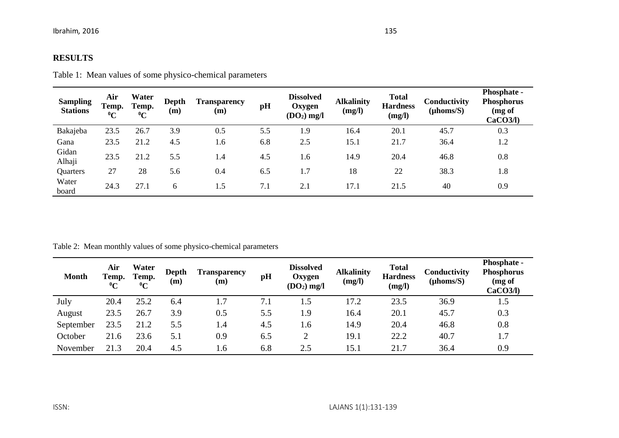# **RESULTS**

| <b>Sampling</b><br><b>Stations</b> | Air<br>Temp.<br>$\rm ^{0}C$ | Water<br>Temp.<br>$\rm ^0C$ | Depth<br>(m) | <b>Transparency</b><br>(m) | pH  | <b>Dissolved</b><br>Oxygen<br>$(DO2)$ mg/l | <b>Alkalinity</b><br>(mg/l) | <b>Total</b><br><b>Hardness</b><br>(mg/l) | Conductivity<br>$(\mu \text{homs/S})$ | Phosphate -<br><b>Phosphorus</b><br>(mg of<br>CaCO3/l) |
|------------------------------------|-----------------------------|-----------------------------|--------------|----------------------------|-----|--------------------------------------------|-----------------------------|-------------------------------------------|---------------------------------------|--------------------------------------------------------|
| Bakajeba                           | 23.5                        | 26.7                        | 3.9          | 0.5                        | 5.5 | 1.9                                        | 16.4                        | 20.1                                      | 45.7                                  | 0.3                                                    |
| Gana                               | 23.5                        | 21.2                        | 4.5          | 1.6                        | 6.8 | 2.5                                        | 15.1                        | 21.7                                      | 36.4                                  | 1.2                                                    |
| Gidan<br>Alhaji                    | 23.5                        | 21.2                        | 5.5          | 1.4                        | 4.5 | 1.6                                        | 14.9                        | 20.4                                      | 46.8                                  | 0.8                                                    |
| Quarters                           | 27                          | 28                          | 5.6          | 0.4                        | 6.5 | 1.7                                        | 18                          | 22                                        | 38.3                                  | 1.8                                                    |
| Water<br>board                     | 24.3                        | 27.1                        | 6            | 1.5                        | 7.1 | 2.1                                        | 17.1                        | 21.5                                      | 40                                    | 0.9                                                    |

Table 2: Mean monthly values of some physico-chemical parameters

| <b>Month</b> | Air<br>Temp.<br>$\rm ^{0}C$ | Water<br>Temp.<br>$\rm ^{0}C$ | Depth<br>(m) | <b>Transparency</b><br>(m) | pH  | <b>Dissolved</b><br>Oxygen<br>$(DO2)$ mg/l | <b>Alkalinity</b><br>(mg/l) | <b>Total</b><br><b>Hardness</b><br>(mg/l) | Conductivity<br>$(\mu \text{homs/S})$ | <b>Phosphate -</b><br><b>Phosphorus</b><br>$(mg \text{ of }$<br>CaCO3/l) |
|--------------|-----------------------------|-------------------------------|--------------|----------------------------|-----|--------------------------------------------|-----------------------------|-------------------------------------------|---------------------------------------|--------------------------------------------------------------------------|
| July         | 20.4                        | 25.2                          | 6.4          | 1.7                        | 7.1 | 1.5                                        | 17.2                        | 23.5                                      | 36.9                                  | 1.5                                                                      |
| August       | 23.5                        | 26.7                          | 3.9          | 0.5                        | 5.5 | 1.9                                        | 16.4                        | 20.1                                      | 45.7                                  | 0.3                                                                      |
| September    | 23.5                        | 21.2                          | 5.5          | 1.4                        | 4.5 | 1.6                                        | 14.9                        | 20.4                                      | 46.8                                  | 0.8                                                                      |
| October      | 21.6                        | 23.6                          | 5.1          | 0.9                        | 6.5 | 2                                          | 19.1                        | 22.2                                      | 40.7                                  | 1.7                                                                      |
| November     | 21.3                        | 20.4                          | 4.5          | 1.6                        | 6.8 | 2.5                                        | 15.1                        | 21.7                                      | 36.4                                  | 0.9                                                                      |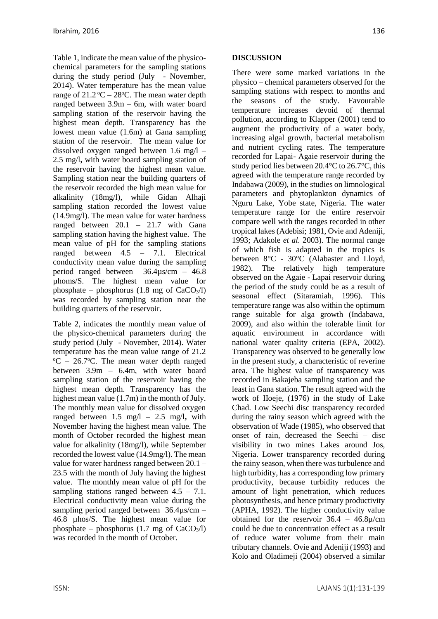Table 1, indicate the mean value of the physicochemical parameters for the sampling stations during the study period (July - November, 2014). Water temperature has the mean value range of  $21.2 \text{°C} - 28 \text{°C}$ . The mean water depth ranged between 3.9m – 6m, with water board sampling station of the reservoir having the highest mean depth. Transparency has the lowest mean value (1.6m) at Gana sampling station of the reservoir. The mean value for dissolved oxygen ranged between 1.6 mg/l – 2.5 mg/l**,** with water board sampling station of the reservoir having the highest mean value. Sampling station near the building quarters of the reservoir recorded the high mean value for alkalinity (18mg/l), while Gidan Alhaji sampling station recorded the lowest value (14.9mg/l). The mean value for water hardness ranged between 20.1 – 21.7 with Gana sampling station having the highest value. The mean value of pH for the sampling stations ranged between 4.5 – 7.1. Electrical conductivity mean value during the sampling period ranged between 36.4µs/cm – 46.8 µhoms/S. The highest mean value for phosphate – phosphorus  $(1.8 \text{ mg of } CaCO<sub>3</sub>/l)$ was recorded by sampling station near the building quarters of the reservoir.

Table 2, indicates the monthly mean value of the physico-chemical parameters during the study period (July - November, 2014). Water temperature has the mean value range of 21.2  $^{\circ}$ C – 26.7 $^{\circ}$ C. The mean water depth ranged between 3.9m – 6.4m, with water board sampling station of the reservoir having the highest mean depth. Transparency has the highest mean value (1.7m) in the month of July. The monthly mean value for dissolved oxygen ranged between 1.5 mg/l – 2.5 mg/l**,** with November having the highest mean value. The month of October recorded the highest mean value for alkalinity (18mg/l), while September recorded the lowest value (14.9mg/l). The mean value for water hardness ranged between 20.1 – 23.5 with the month of July having the highest value. The monthly mean value of pH for the sampling stations ranged between  $4.5 - 7.1$ . Electrical conductivity mean value during the sampling period ranged between 36.4µs/cm – 46.8 µhos/S. The highest mean value for phosphate – phosphorus  $(1.7 \text{ mg of } CaCO<sub>3</sub>/l)$ was recorded in the month of October.

## **DISCUSSION**

There were some marked variations in the physico – chemical parameters observed for the sampling stations with respect to months and the seasons of the study. Favourable temperature increases devoid of thermal pollution, according to Klapper (2001) tend to augment the productivity of a water body, increasing algal growth, bacterial metabolism and nutrient cycling rates. The temperature recorded for Lapai- Agaie reservoir during the study period lies between 20.4°C to 26.7°C, this agreed with the temperature range recorded by Indabawa (2009), in the studies on limnological parameters and phytoplankton dynamics of Nguru Lake, Yobe state, Nigeria. The water temperature range for the entire reservoir compare well with the ranges recorded in other tropical lakes (Adebisi; 1981, Ovie and Adeniji, 1993; Adakole *et al.* 2003). The normal range of which fish is adapted in the tropics is between 8°C - 30°C (Alabaster and Lloyd, 1982). The relatively high temperature observed on the Agaie - Lapai reservoir during the period of the study could be as a result of seasonal effect (Sitaramiah, 1996). This temperature range was also within the optimum range suitable for alga growth (Indabawa, 2009), and also within the tolerable limit for aquatic environment in accordance with national water quality criteria (EPA, 2002). Transparency was observed to be generally low in the present study, a characteristic of reverine area. The highest value of transparency was recorded in Bakajeba sampling station and the least in Gana station. The result agreed with the work of IIoeje, (1976) in the study of Lake Chad. Low Seechi disc transparency recorded during the rainy season which agreed with the observation of Wade (1985), who observed that onset of rain, decreased the Seechi – disc visibility in two mines Lakes around Jos, Nigeria. Lower transparency recorded during the rainy season, when there was turbulence and high turbidity, has a corresponding low primary productivity, because turbidity reduces the amount of light penetration, which reduces photosynthesis, and hence primary productivity (APHA, 1992). The higher conductivity value obtained for the reservoir 36.4 – 46.8µ/cm could be due to concentration effect as a result of reduce water volume from their main tributary channels. Ovie and Adeniji (1993) and Kolo and Oladimeji (2004) observed a similar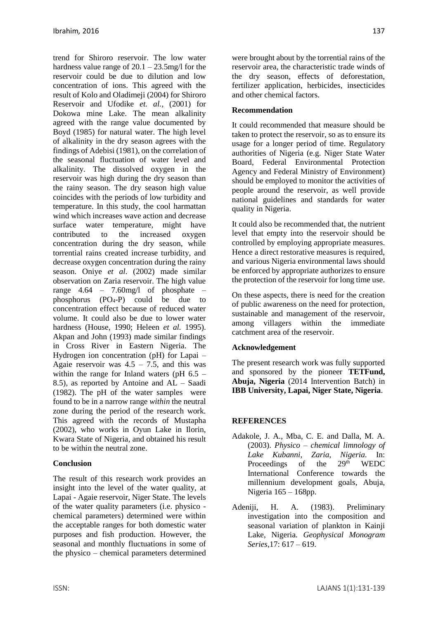trend for Shiroro reservoir. The low water hardness value range of 20.1 – 23.5mg/l for the reservoir could be due to dilution and low concentration of ions. This agreed with the result of Kolo and Oladimeji (2004) for Shiroro Reservoir and Ufodike *et. al.,* (2001) for Dokowa mine Lake. The mean alkalinity agreed with the range value documented by Boyd (1985) for natural water. The high level of alkalinity in the dry season agrees with the findings of Adebisi (1981), on the correlation of the seasonal fluctuation of water level and alkalinity. The dissolved oxygen in the reservoir was high during the dry season than the rainy season. The dry season high value coincides with the periods of low turbidity and temperature. In this study, the cool harmattan wind which increases wave action and decrease surface water temperature, might have contributed to the increased oxygen concentration during the dry season, while torrential rains created increase turbidity, and decrease oxygen concentration during the rainy season. Oniye *et al.* (2002) made similar observation on Zaria reservoir. The high value range 4.64 – 7.60mg/l of phosphate – phosphorus  $(PO_4-P)$  could be due to concentration effect because of reduced water volume. It could also be due to lower water hardness (House, 1990; Heleen *et al.* 1995). Akpan and John (1993) made similar findings in Cross River in Eastern Nigeria. The Hydrogen ion concentration (pH) for Lapai – Agaie reservoir was  $4.5 - 7.5$ , and this was within the range for Inland waters ( $pH$  6.5 – 8.5), as reported by Antoine and AL – Saadi (1982). The pH of the water samples were found to be in a narrow range *within* the neutral zone during the period of the research work. This agreed with the records of Mustapha (2002), who works in Oyun Lake in Ilorin, Kwara State of Nigeria, and obtained his result to be within the neutral zone.

## **Conclusion**

The result of this research work provides an insight into the level of the water quality, at Lapai - Agaie reservoir, Niger State. The levels of the water quality parameters (i.e. physico chemical parameters) determined were within the acceptable ranges for both domestic water purposes and fish production. However, the seasonal and monthly fluctuations in some of the physico – chemical parameters determined were brought about by the torrential rains of the reservoir area, the characteristic trade winds of the dry season, effects of deforestation, fertilizer application, herbicides, insecticides and other chemical factors.

## **Recommendation**

It could recommended that measure should be taken to protect the reservoir, so as to ensure its usage for a longer period of time. Regulatory authorities of Nigeria (e.g. Niger State Water Board, Federal Environmental Protection Agency and Federal Ministry of Environment) should be employed to monitor the activities of people around the reservoir, as well provide national guidelines and standards for water quality in Nigeria.

It could also be recommended that, the nutrient level that empty into the reservoir should be controlled by employing appropriate measures. Hence a direct restorative measures is required, and various Nigeria environmental laws should be enforced by appropriate authorizes to ensure the protection of the reservoir for long time use.

On these aspects, there is need for the creation of public awareness on the need for protection, sustainable and management of the reservoir, among villagers within the immediate catchment area of the reservoir.

# **Acknowledgement**

The present research work was fully supported and sponsored by the pioneer **TETFund, Abuja, Nigeria** (2014 Intervention Batch) in **IBB University, Lapai, Niger State, Nigeria**.

# **REFERENCES**

- Adakole, J. A., Mba, C. E. and Dalla, M. A. (2003). *Physico – chemical limnology of Lake Kubanni, Zaria, Nigeria.* In: Proceedings of the 29<sup>th</sup> WEDC International Conference towards the millennium development goals, Abuja, Nigeria 165 – 168pp.
- Adeniji, H. A. (1983). Preliminary investigation into the composition and seasonal variation of plankton in Kainji Lake, Nigeria. *Geophysical Monogram Series,*17: 617 – 619.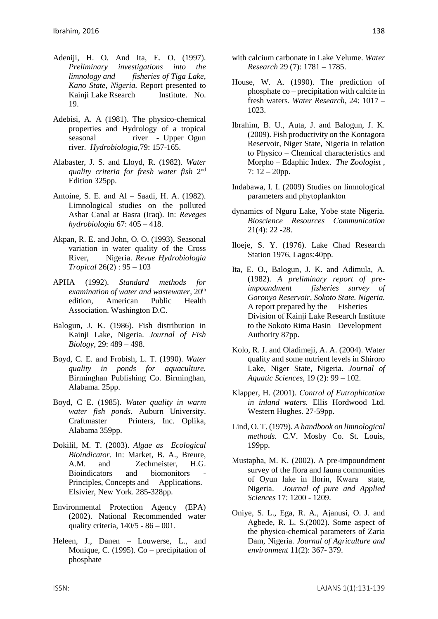- Adeniji, H. O. And Ita, E. O. (1997). *Preliminary investigations into the limnology and fisheries of Tiga Lake, Kano State, Nigeria.* Report presented to Kainii Lake Rsearch Institute. No. 19.
- Adebisi, A. A (1981). The physico-chemical properties and Hydrology of a tropical seasonal river - Upper Ogun river. *Hydrobiologia,*79: 157-165.
- Alabaster, J. S. and Lloyd, R. (1982). *Water quality criteria for fresh water fish* 2 nd Edition 325pp.
- Antoine, S. E. and Al Saadi, H. A. (1982). Limnological studies on the polluted Ashar Canal at Basra (Iraq). In: *Reveges hydrobiologia* 67: 405 – 418.
- Akpan, R. E. and John, O. O. (1993). Seasonal variation in water quality of the Cross River, Nigeria. *Revue Hydrobiologia Tropical* 26(2) : 95 – 103
- APHA (1992). *Standard methods for examination of water and wastewater*,  $20<sup>th</sup>$ edition, American Public Health Association. Washington D.C.
- Balogun, J. K. (1986). Fish distribution in Kainji Lake, Nigeria. *Journal of Fish Biology,* 29: 489 – 498.
- Boyd, C. E. and Frobish, L. T. (1990). *Water quality in ponds for aquaculture.*  Birminghan Publishing Co. Birminghan, Alabama. 25pp.
- Boyd, C E. (1985). *Water quality in warm water fish ponds.* Auburn University. Craftmaster Printers, Inc. Oplika, Alabama 359pp.
- Dokilil, M. T. (2003). *Algae as Ecological Bioindicator.* In: Market, B. A., Breure, A.M. and Zechmeister, H.G. Bioindicators and biomonitors Principles, Concepts and Applications. Elsivier, New York. 285-328pp.
- Environmental Protection Agency (EPA) (2002). National Recommended water quality criteria,  $140/5 - 86 - 001$ .
- Heleen, J., Danen Louwerse, L., and Monique, C. (1995). Co – precipitation of phosphate
- with calcium carbonate in Lake Velume. *Water Research* 29 (7): 1781 – 1785.
- House, W. A. (1990). The prediction of phosphate co – precipitation with calcite in fresh waters. *Water Research*, 24: 1017 – 1023.
- Ibrahim, B. U., Auta, J. and Balogun, J. K. (2009). Fish productivity on the Kontagora Reservoir, Niger State, Nigeria in relation to Physico – Chemical characteristics and Morpho – Edaphic Index. *The Zoologist* ,  $7: 12 - 20$ pp.
- Indabawa, I. I. (2009) Studies on limnological parameters and phytoplankton
- dynamics of Nguru Lake, Yobe state Nigeria. *Bioscience Resources Communication*  21(4): 22 -28.
- Iloeje, S. Y. (1976). Lake Chad Research Station 1976, Lagos:40pp.
- Ita, E. O., Balogun, J. K. and Adimula, A. (1982). *A preliminary report of preimpoundment fisheries survey of Goronyo Reservoir, Sokoto State. Nigeria.* A report prepared by the Fisheries Division of Kainji Lake Research Institute to the Sokoto Rima Basin Development Authority 87pp.
- Kolo, R. J. and Oladimeji, A. A. (2004). Water quality and some nutrient levels in Shiroro Lake, Niger State, Nigeria. *Journal of Aquatic Sciences,* 19 (2): 99 – 102.
- Klapper, H. (2001). *Control of Eutrophication in inland waters.* Ellis Hordwood Ltd. Western Hughes. 27-59pp.
- Lind, O. T. (1979). *A handbook on limnological methods*. C.V. Mosby Co. St. Louis, 199pp.
- Mustapha, M. K. (2002). A pre-impoundment survey of the flora and fauna communities of Oyun lake in llorin, Kwara state, Nigeria. *Journal of pure and Applied Sciences* 17: 1200 - 1209.
- Oniye, S. L., Ega, R. A., Ajanusi, O. J. and Agbede, R. L. S.(2002). Some aspect of the physico-chemical parameters of Zaria Dam, Nigeria. *Journal of Agriculture and environment* 11(2): 367- 379.